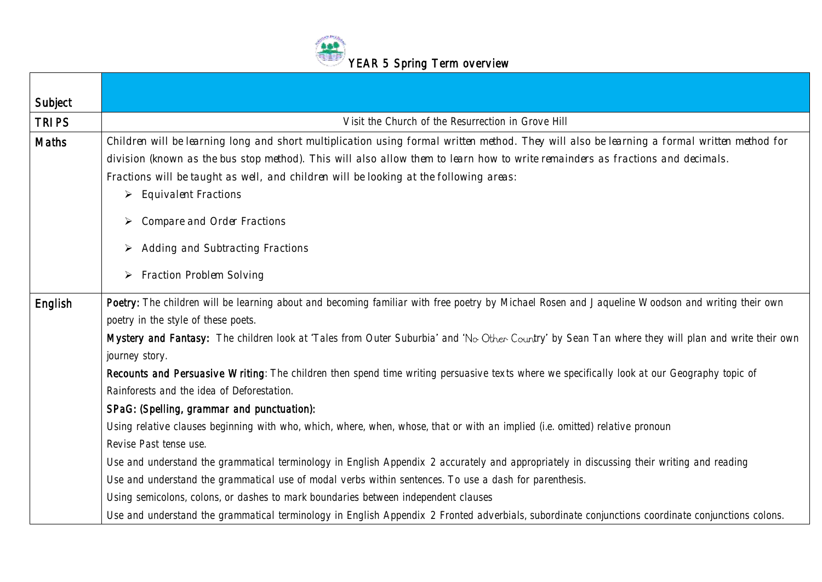

| Subject      |                                                                                                                                                                                                                                                                                                                                                                                                                                                                                                                                                                                                                                                                                                                                                                                                                                                                                                                                                                                                                                                                                                                                                                                                                                                                       |
|--------------|-----------------------------------------------------------------------------------------------------------------------------------------------------------------------------------------------------------------------------------------------------------------------------------------------------------------------------------------------------------------------------------------------------------------------------------------------------------------------------------------------------------------------------------------------------------------------------------------------------------------------------------------------------------------------------------------------------------------------------------------------------------------------------------------------------------------------------------------------------------------------------------------------------------------------------------------------------------------------------------------------------------------------------------------------------------------------------------------------------------------------------------------------------------------------------------------------------------------------------------------------------------------------|
| <b>TRIPS</b> | Visit the Church of the Resurrection in Grove Hill                                                                                                                                                                                                                                                                                                                                                                                                                                                                                                                                                                                                                                                                                                                                                                                                                                                                                                                                                                                                                                                                                                                                                                                                                    |
| Maths        | Children will be learning long and short multiplication using formal written method. They will also be learning a formal written method for<br>division (known as the bus stop method). This will also allow them to learn how to write remainders as fractions and decimals.<br>Fractions will be taught as well, and children will be looking at the following areas:<br><b>Equivalent Fractions</b><br>➤<br><b>Compare and Order Fractions</b><br>≻<br><b>Adding and Subtracting Fractions</b><br>➤<br>$\triangleright$ Fraction Problem Solving                                                                                                                                                                                                                                                                                                                                                                                                                                                                                                                                                                                                                                                                                                                   |
| English      | Poetry: The children will be learning about and becoming familiar with free poetry by Michael Rosen and Jaqueline Woodson and writing their own<br>poetry in the style of these poets.<br>Mystery and Fantasy: The children look at 'Tales from Outer Suburbia' and 'No Other Country' by Sean Tan where they will plan and write their own<br>journey story.<br>Recounts and Persuasive Writing: The children then spend time writing persuasive texts where we specifically look at our Geography topic of<br>Rainforests and the idea of Deforestation.<br>SPaG: (Spelling, grammar and punctuation):<br>Using relative clauses beginning with who, which, where, when, whose, that or with an implied (i.e. omitted) relative pronoun<br>Revise Past tense use.<br>Use and understand the grammatical terminology in English Appendix 2 accurately and appropriately in discussing their writing and reading<br>Use and understand the grammatical use of modal verbs within sentences. To use a dash for parenthesis.<br>Using semicolons, colons, or dashes to mark boundaries between independent clauses<br>Use and understand the grammatical terminology in English Appendix 2 Fronted adverbials, subordinate conjunctions coordinate conjunctions colons. |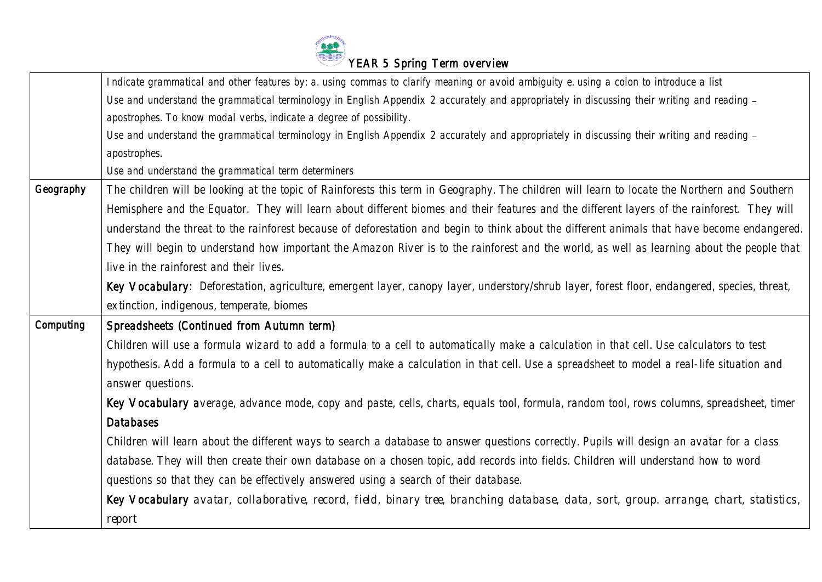

|           | Indicate grammatical and other features by: a. using commas to clarify meaning or avoid ambiguity e. using a colon to introduce a list       |
|-----------|----------------------------------------------------------------------------------------------------------------------------------------------|
|           | Use and understand the grammatical terminology in English Appendix 2 accurately and appropriately in discussing their writing and reading -  |
|           | apostrophes. To know modal verbs, indicate a degree of possibility.                                                                          |
|           | Use and understand the grammatical terminology in English Appendix 2 accurately and appropriately in discussing their writing and reading -  |
|           | apostrophes.                                                                                                                                 |
|           | Use and understand the grammatical term determiners                                                                                          |
| Geography | The children will be looking at the topic of Rainforests this term in Geography. The children will learn to locate the Northern and Southern |
|           | Hemisphere and the Equator. They will learn about different biomes and their features and the different layers of the rainforest. They will  |
|           | understand the threat to the rainforest because of deforestation and begin to think about the different animals that have become endangered. |
|           | They will begin to understand how important the Amazon River is to the rainforest and the world, as well as learning about the people that   |
|           | live in the rainforest and their lives.                                                                                                      |
|           | Key Vocabulary: Deforestation, agriculture, emergent layer, canopy layer, understory/shrub layer, forest floor, endangered, species, threat, |
|           | extinction, indigenous, temperate, biomes                                                                                                    |
| Computing | Spreadsheets (Continued from Autumn term)                                                                                                    |
|           | Children will use a formula wizard to add a formula to a cell to automatically make a calculation in that cell. Use calculators to test      |
|           | hypothesis. Add a formula to a cell to automatically make a calculation in that cell. Use a spreadsheet to model a real-life situation and   |
|           | answer questions.                                                                                                                            |
|           | Key Vocabulary average, advance mode, copy and paste, cells, charts, equals tool, formula, random tool, rows columns, spreadsheet, timer     |
|           | <b>Databases</b>                                                                                                                             |
|           | Children will learn about the different ways to search a database to answer questions correctly. Pupils will design an avatar for a class    |
|           | database. They will then create their own database on a chosen topic, add records into fields. Children will understand how to word          |
|           | questions so that they can be effectively answered using a search of their database.                                                         |
|           | Key Vocabulary avatar, collaborative, record, field, binary tree, branching database, data, sort, group. arrange, chart, statistics,         |
|           | report                                                                                                                                       |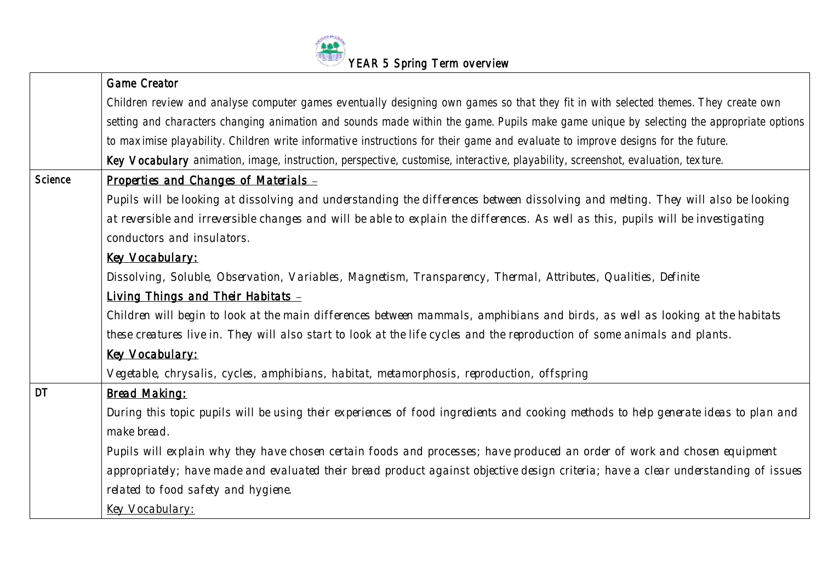

|           | <b>Game Creator</b>                                                                                                                     |
|-----------|-----------------------------------------------------------------------------------------------------------------------------------------|
|           | Children review and analyse computer games eventually designing own games so that they fit in with selected themes. They create own     |
|           | setting and characters changing animation and sounds made within the game. Pupils make game unique by selecting the appropriate options |
|           | to maximise playability. Children write informative instructions for their game and evaluate to improve designs for the future.         |
|           | Key Vocabulary animation, image, instruction, perspective, customise, interactive, playability, screenshot, evaluation, texture.        |
| Science   | Properties and Changes of Materials -                                                                                                   |
|           | Pupils will be looking at dissolving and understanding the differences between dissolving and melting. They will also be looking        |
|           | at reversible and irreversible changes and will be able to explain the differences. As well as this, pupils will be investigating       |
|           | conductors and insulators.                                                                                                              |
|           | <b>Key Vocabulary:</b>                                                                                                                  |
|           | Dissolving, Soluble, Observation, Variables, Magnetism, Transparency, Thermal, Attributes, Qualities, Definite                          |
|           | <b>Living Things and Their Habitats -</b>                                                                                               |
|           | Children will begin to look at the main differences between mammals, amphibians and birds, as well as looking at the habitats           |
|           | these creatures live in. They will also start to look at the life cycles and the reproduction of some animals and plants.               |
|           | <b>Key Vocabulary:</b>                                                                                                                  |
|           | Vegetable, chrysalis, cycles, amphibians, habitat, metamorphosis, reproduction, offspring                                               |
| <b>DT</b> | <b>Bread Making:</b>                                                                                                                    |
|           | During this topic pupils will be using their experiences of food ingredients and cooking methods to help generate ideas to plan and     |
|           | make bread.                                                                                                                             |
|           | Pupils will explain why they have chosen certain foods and processes; have produced an order of work and chosen equipment               |
|           | appropriately; have made and evaluated their bread product against objective design criteria; have a clear understanding of issues      |
|           | related to food safety and hygiene.                                                                                                     |
|           | <b>Key Vocabulary:</b>                                                                                                                  |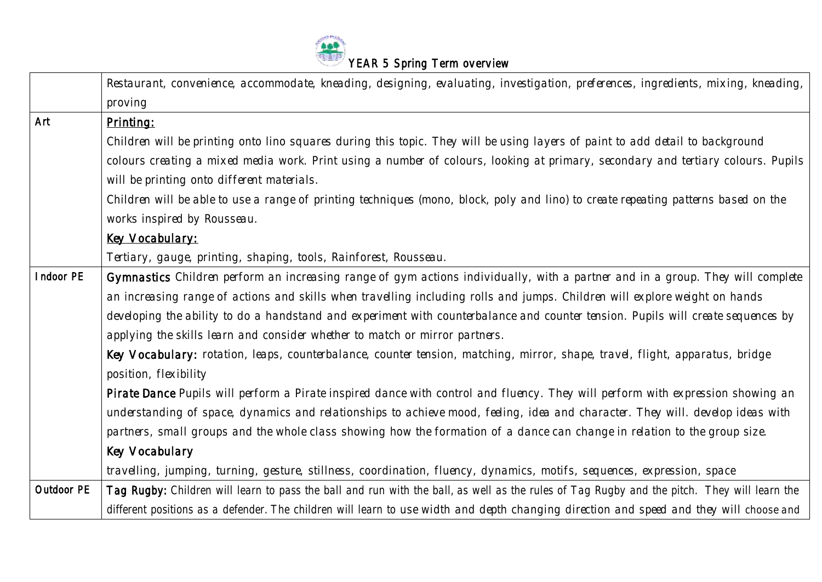

|            | Restaurant, convenience, accommodate, kneading, designing, evaluating, investigation, preferences, ingredients, mixing, kneading,           |
|------------|---------------------------------------------------------------------------------------------------------------------------------------------|
|            | proving                                                                                                                                     |
| Art        | Printing:                                                                                                                                   |
|            | Children will be printing onto lino squares during this topic. They will be using layers of paint to add detail to background               |
|            | colours creating a mixed media work. Print using a number of colours, looking at primary, secondary and tertiary colours. Pupils            |
|            | will be printing onto different materials.                                                                                                  |
|            | Children will be able to use a range of printing techniques (mono, block, poly and lino) to create repeating patterns based on the          |
|            | works inspired by Rousseau.                                                                                                                 |
|            | <b>Key Vocabulary:</b>                                                                                                                      |
|            | Tertiary, gauge, printing, shaping, tools, Rainforest, Rousseau.                                                                            |
| Indoor PE  | Gymnastics Children perform an increasing range of gym actions individually, with a partner and in a group. They will complete              |
|            | an increasing range of actions and skills when travelling including rolls and jumps. Children will explore weight on hands                  |
|            | developing the ability to do a handstand and experiment with counterbalance and counter tension. Pupils will create sequences by            |
|            | applying the skills learn and consider whether to match or mirror partners.                                                                 |
|            | Key Vocabulary: rotation, leaps, counterbalance, counter tension, matching, mirror, shape, travel, flight, apparatus, bridge                |
|            | position, flexibility                                                                                                                       |
|            | Pirate Dance Pupils will perform a Pirate inspired dance with control and fluency. They will perform with expression showing an             |
|            | understanding of space, dynamics and relationships to achieve mood, feeling, idea and character. They will. develop ideas with              |
|            | partners, small groups and the whole class showing how the formation of a dance can change in relation to the group size.                   |
|            | <b>Key Vocabulary</b>                                                                                                                       |
|            | travelling, jumping, turning, gesture, stillness, coordination, fluency, dynamics, motifs, sequences, expression, space                     |
| Outdoor PE | Tag Rugby: Children will learn to pass the ball and run with the ball, as well as the rules of Tag Rugby and the pitch. They will learn the |
|            | different positions as a defender. The children will learn to use width and depth changing direction and speed and they will choose and     |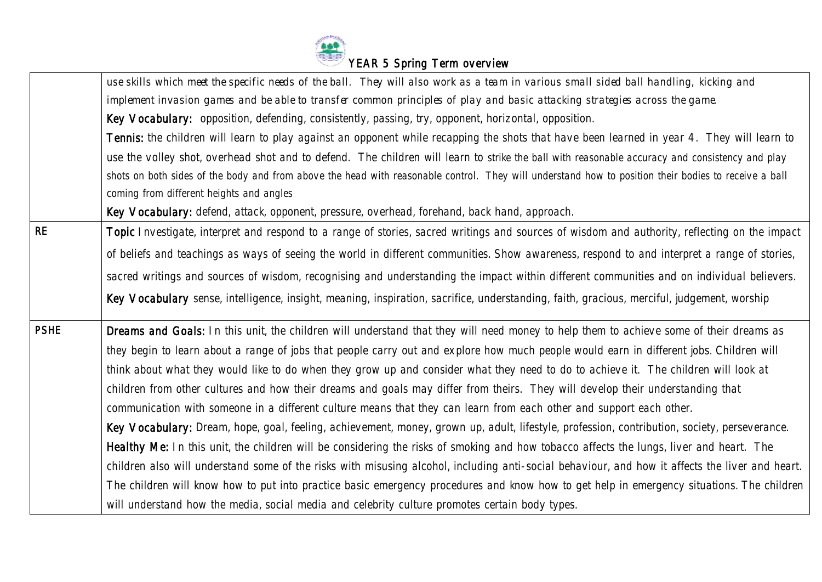

|             | use skills which meet the specific needs of the ball. They will also work as a team in various small sided ball handling, kicking and                |
|-------------|------------------------------------------------------------------------------------------------------------------------------------------------------|
|             | implement invasion games and be able to transfer common principles of play and basic attacking strategies across the game.                           |
|             | Key Vocabulary: opposition, defending, consistently, passing, try, opponent, horizontal, opposition.                                                 |
|             | Tennis: the children will learn to play against an opponent while recapping the shots that have been learned in year 4. They will learn to           |
|             | use the volley shot, overhead shot and to defend. The children will learn to strike the ball with reasonable accuracy and consistency and play       |
|             | shots on both sides of the body and from above the head with reasonable control. They will understand how to position their bodies to receive a ball |
|             | coming from different heights and angles                                                                                                             |
|             | Key Vocabulary: defend, attack, opponent, pressure, overhead, forehand, back hand, approach.                                                         |
| <b>RE</b>   | Topic Investigate, interpret and respond to a range of stories, sacred writings and sources of wisdom and authority, reflecting on the impact        |
|             | of beliefs and teachings as ways of seeing the world in different communities. Show awareness, respond to and interpret a range of stories,          |
|             | sacred writings and sources of wisdom, recognising and understanding the impact within different communities and on individual believers.            |
|             | Key Vocabulary sense, intelligence, insight, meaning, inspiration, sacrifice, understanding, faith, gracious, merciful, judgement, worship           |
| <b>PSHE</b> | Dreams and Goals: In this unit, the children will understand that they will need money to help them to achieve some of their dreams as               |
|             | they begin to learn about a range of jobs that people carry out and explore how much people would earn in different jobs. Children will              |
|             | think about what they would like to do when they grow up and consider what they need to do to achieve it. The children will look at                  |
|             | children from other cultures and how their dreams and goals may differ from theirs. They will develop their understanding that                       |
|             | communication with someone in a different culture means that they can learn from each other and support each other.                                  |
|             | Key Vocabulary: Dream, hope, goal, feeling, achievement, money, grown up, adult, lifestyle, profession, contribution, society, perseverance.         |
|             | Healthy Me: In this unit, the children will be considering the risks of smoking and how tobacco affects the lungs, liver and heart. The              |
|             | children also will understand some of the risks with misusing alcohol, including anti-social behaviour, and how it affects the liver and heart.      |
|             | The children will know how to put into practice basic emergency procedures and know how to get help in emergency situations. The children            |
|             | will understand how the media, social media and celebrity culture promotes certain body types.                                                       |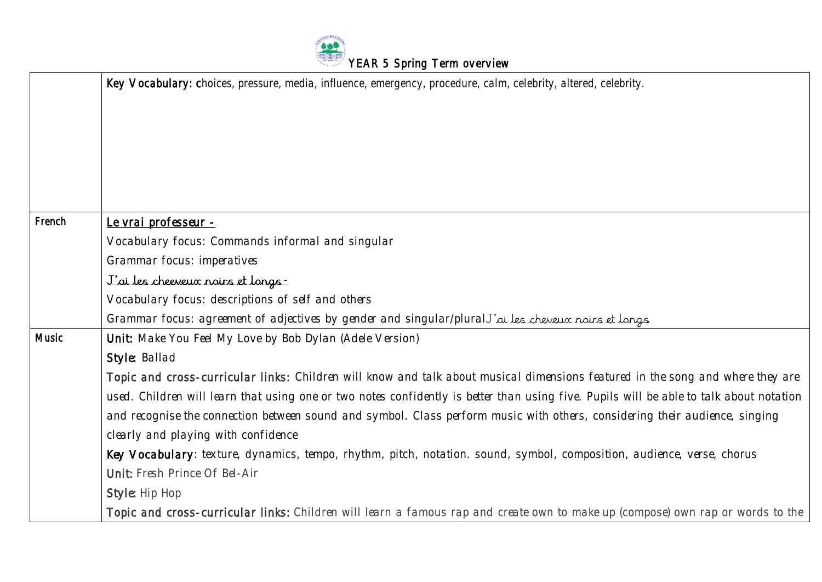

|              | Key Vocabulary: choices, pressure, media, influence, emergency, procedure, calm, celebrity, altered, celebrity.                         |
|--------------|-----------------------------------------------------------------------------------------------------------------------------------------|
| French       | Le vrai professeur -                                                                                                                    |
|              | Vocabulary focus: Commands informal and singular                                                                                        |
|              | <b>Grammar focus: imperatives</b>                                                                                                       |
|              | <u>J'ai les cheeveux noirs et longs -</u>                                                                                               |
|              | Vocabulary focus: descriptions of self and others                                                                                       |
|              | Grammar focus: agreement of adjectives by gender and singular/pluralJ'ai les cheveux noirs et longs.                                    |
| <b>Music</b> | Unit: Make You Feel My Love by Bob Dylan (Adele Version)                                                                                |
|              | Style: Ballad                                                                                                                           |
|              | Topic and cross-curricular links: Children will know and talk about musical dimensions featured in the song and where they are          |
|              | used. Children will learn that using one or two notes confidently is better than using five. Pupils will be able to talk about notation |
|              | and recognise the connection between sound and symbol. Class perform music with others, considering their audience, singing             |
|              | clearly and playing with confidence                                                                                                     |
|              | Key Vocabulary: texture, dynamics, tempo, rhythm, pitch, notation. sound, symbol, composition, audience, verse, chorus                  |
|              | <b>Unit: Fresh Prince Of Bel-Air</b>                                                                                                    |
|              | <b>Style: Hip Hop</b>                                                                                                                   |
|              | Topic and cross-curricular links: Children will learn a famous rap and create own to make up (compose) own rap or words to the          |